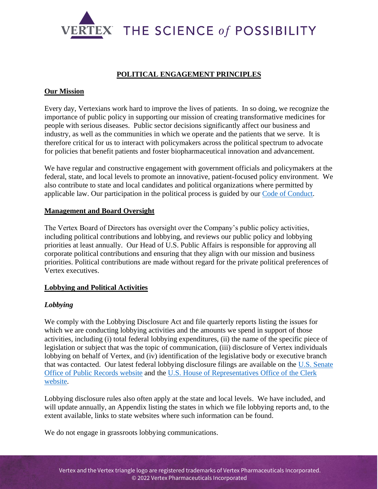

## **POLITICAL ENGAGEMENT PRINCIPLES**

#### **Our Mission**

Every day, Vertexians work hard to improve the lives of patients. In so doing, we recognize the importance of public policy in supporting our mission of creating transformative medicines for people with serious diseases. Public sector decisions significantly affect our business and industry, as well as the communities in which we operate and the patients that we serve. It is therefore critical for us to interact with policymakers across the political spectrum to advocate for policies that benefit patients and foster biopharmaceutical innovation and advancement.

We have regular and constructive engagement with government officials and policymakers at the federal, state, and local levels to promote an innovative, patient-focused policy environment. We also contribute to state and local candidates and political organizations where permitted by applicable law. Our participation in the political process is guided by our [Code of Conduct.](https://investors.vrtx.com/static-files/23943678-29de-4aac-8713-f68bac5e6294)

#### **Management and Board Oversight**

The Vertex Board of Directors has oversight over the Company's public policy activities, including political contributions and lobbying, and reviews our public policy and lobbying priorities at least annually. Our Head of U.S. Public Affairs is responsible for approving all corporate political contributions and ensuring that they align with our mission and business priorities. Political contributions are made without regard for the private political preferences of Vertex executives.

#### **Lobbying and Political Activities**

### *Lobbying*

We comply with the Lobbying Disclosure Act and file quarterly reports listing the issues for which we are conducting lobbying activities and the amounts we spend in support of those activities, including (i) total federal lobbying expenditures, (ii) the name of the specific piece of legislation or subject that was the topic of communication, (iii) disclosure of Vertex individuals lobbying on behalf of Vertex, and (iv) identification of the legislative body or executive branch that was contacted. Our latest federal lobbying disclosure filings are available on the [U.S. Senate](https://www.senate.gov/legislative/Public_Disclosure/LDA_reports.htm)  [Office of Public Records website](https://www.senate.gov/legislative/Public_Disclosure/LDA_reports.htm) and the [U.S. House of Representatives Office of the Clerk](https://lobbyingdisclosure.house.gov/)  [website.](https://lobbyingdisclosure.house.gov/)

Lobbying disclosure rules also often apply at the state and local levels. We have included, and will update annually, an Appendix listing the states in which we file lobbying reports and, to the extent available, links to state websites where such information can be found.

We do not engage in grassroots lobbying communications.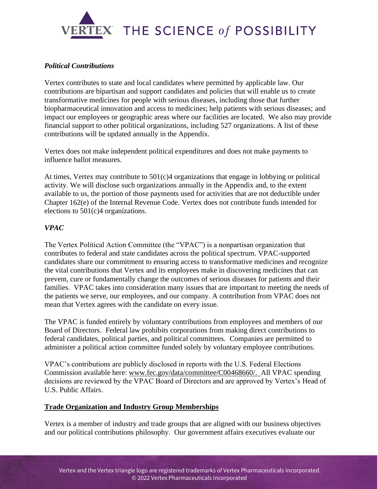

### *Political Contributions*

Vertex contributes to state and local candidates where permitted by applicable law. Our contributions are bipartisan and support candidates and policies that will enable us to create transformative medicines for people with serious diseases, including those that further biopharmaceutical innovation and access to medicines; help patients with serious diseases; and impact our employees or geographic areas where our facilities are located. We also may provide financial support to other political organizations, including 527 organizations. A list of these contributions will be updated annually in the Appendix.

Vertex does not make independent political expenditures and does not make payments to influence ballot measures.

At times, Vertex may contribute to  $501(c)4$  organizations that engage in lobbying or political activity. We will disclose such organizations annually in the Appendix and, to the extent available to us, the portion of those payments used for activities that are not deductible under Chapter 162(e) of the Internal Revenue Code. Vertex does not contribute funds intended for elections to 501(c)4 organizations.

## *VPAC*

The Vertex Political Action Committee (the "VPAC") is a nonpartisan organization that contributes to federal and state candidates across the political spectrum. VPAC-supported candidates share our commitment to ensuring access to transformative medicines and recognize the vital contributions that Vertex and its employees make in discovering medicines that can prevent, cure or fundamentally change the outcomes of serious diseases for patients and their families. VPAC takes into consideration many issues that are important to meeting the needs of the patients we serve, our employees, and our company. A contribution from VPAC does not mean that Vertex agrees with the candidate on every issue.

The VPAC is funded entirely by voluntary contributions from employees and members of our Board of Directors. Federal law prohibits corporations from making direct contributions to federal candidates, political parties, and political committees. Companies are permitted to administer a political action committee funded solely by voluntary employee contributions.

VPAC's contributions are publicly disclosed in reports with the U.S. Federal Elections Commission available here: [www.fec.gov/data/committee/C00468660/.](http://www.fec.gov/data/committee/C00468660/) All VPAC spending decisions are reviewed by the VPAC Board of Directors and are approved by Vertex's Head of U.S. Public Affairs.

#### **Trade Organization and Industry Group Memberships**

Vertex is a member of industry and trade groups that are aligned with our business objectives and our political contributions philosophy. Our government affairs executives evaluate our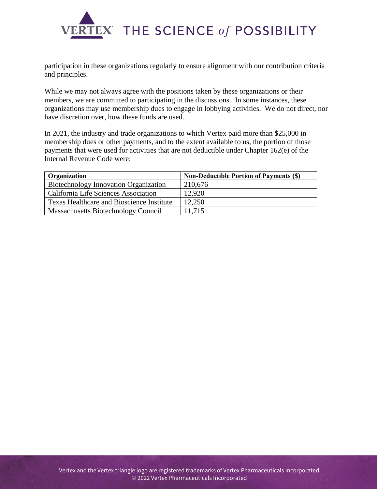

participation in these organizations regularly to ensure alignment with our contribution criteria and principles.

While we may not always agree with the positions taken by these organizations or their members, we are committed to participating in the discussions. In some instances, these organizations may use membership dues to engage in lobbying activities. We do not direct, nor have discretion over, how these funds are used.

In 2021, the industry and trade organizations to which Vertex paid more than \$25,000 in membership dues or other payments, and to the extent available to us, the portion of those payments that were used for activities that are not deductible under Chapter 162(e) of the Internal Revenue Code were:

| <b>Organization</b>                        | <b>Non-Deductible Portion of Payments (\$)</b> |
|--------------------------------------------|------------------------------------------------|
| Biotechnology Innovation Organization      | 210,676                                        |
| California Life Sciences Association       | 12.920                                         |
| Texas Healthcare and Bioscience Institute  | 12,250                                         |
| <b>Massachusetts Biotechnology Council</b> | 11,715                                         |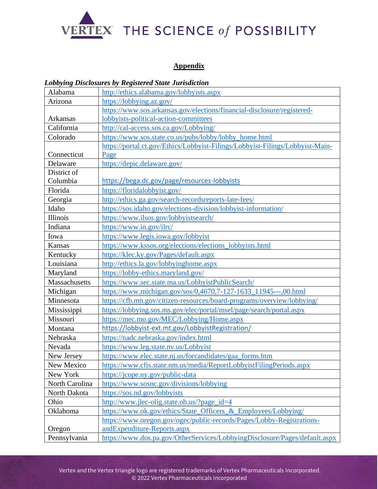

## **Appendix**

#### *Lobbying Disclosures by Registered State Jurisdiction*

| Alabama        | http://ethics.alabama.gov/lobbyists.aspx                                      |
|----------------|-------------------------------------------------------------------------------|
| Arizona        | https://lobbying.az.gov/                                                      |
|                | https://www.sos.arkansas.gov/elections/financial-disclosure/registered-       |
| Arkansas       | lobbyists-political-action-committees                                         |
| California     | http://cal-access.sos.ca.gov/Lobbying/                                        |
| Colorado       | https://www.sos.state.co.us/pubs/lobby/lobby home.html                        |
|                | https://portal.ct.gov/Ethics/Lobbyist-Filings/Lobbyist-Filings/Lobbyist-Main- |
| Connecticut    | Page                                                                          |
| Delaware       | https://depic.delaware.gov/                                                   |
| District of    |                                                                               |
| Columbia       | https://bega.dc.gov/page/resources-lobbyists                                  |
| Florida        | https://floridalobbyist.gov/                                                  |
| Georgia        | http://ethics.ga.gov/search-recordsreports-late-fees/                         |
| Idaho          | https://sos.idaho.gov/elections-division/lobbyist-information/                |
| Illinois       | https://www.ilsos.gov/lobbyistsearch/                                         |
| Indiana        | https://www.in.gov/ilrc/                                                      |
| Iowa           | https://www.legis.iowa.gov/lobbyist                                           |
| Kansas         | https://www.kssos.org/elections/elections_lobbyists.html                      |
| Kentucky       | https://klec.ky.gov/Pages/default.aspx                                        |
| Louisiana      | http://ethics.la.gov/lobbyinghome.aspx                                        |
| Maryland       | https://lobby-ethics.maryland.gov/                                            |
| Massachusetts  | https://www.sec.state.ma.us/LobbyistPublicSearch/                             |
| Michigan       | https://www.michigan.gov/sos/0,4670,7-127-1633_11945---,00.html               |
| Minnesota      | https://cfb.mn.gov/citizen-resources/board-programs/overview/lobbying/        |
| Mississippi    | https://lobbying.sos.ms.gov/elec/portal/msel/page/search/portal.aspx          |
| Missouri       | https://mec.mo.gov/MEC/Lobbying/Home.aspx                                     |
| Montana        | https://lobbyist-ext.mt.gov/LobbyistRegistration/                             |
| Nebraska       | https://nadc.nebraska.gov/index.html                                          |
| Nevada         | https://www.leg.state.nv.us/Lobbyist                                          |
| New Jersey     | https://www.elec.state.nj.us/forcandidates/gaa_forms.htm                      |
| New Mexico     | https://www.cfis.state.nm.us/media/ReportLobbyistFilingPeriods.aspx           |
| New York       | https://jcope.ny.gov/public-data                                              |
| North Carolina | https://www.sosnc.gov/divisions/lobbying                                      |
| North Dakota   | https://sos.nd.gov/lobbyists                                                  |
| Ohio           | http://www.jlec-olig.state.oh.us/?page_id=4                                   |
| Oklahoma       | https://www.ok.gov/ethics/State_Officers_&_Employees/Lobbying/                |
|                | https://www.oregon.gov/ogec/public-records/Pages/Lobby-Registrations-         |
| Oregon         | andExpenditure-Reports.aspx                                                   |
| Pennsylvania   | https://www.dos.pa.gov/OtherServices/LobbyingDisclosure/Pages/default.aspx    |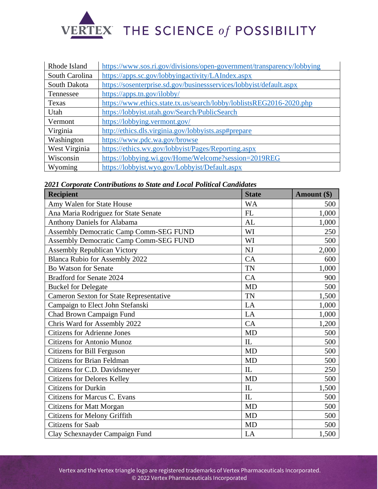

| Rhode Island   | https://www.sos.ri.gov/divisions/open-government/transparency/lobbying |
|----------------|------------------------------------------------------------------------|
| South Carolina | https://apps.sc.gov/lobbyingactivity/LAIndex.aspx                      |
| South Dakota   | https://sosenterprise.sd.gov/businessservices/lobbyist/default.aspx    |
| Tennessee      | https://apps.tn.gov/ilobby/                                            |
| Texas          | https://www.ethics.state.tx.us/search/lobby/loblistsREG2016-2020.php   |
| Utah           | https://lobbyist.utah.gov/Search/PublicSearch                          |
| Vermont        | https://lobbying.vermont.gov/                                          |
| Virginia       | http://ethics.dls.virginia.gov/lobbyists.asp#prepare                   |
| Washington     | https://www.pdc.wa.gov/browse                                          |
| West Virginia  | https://ethics.wv.gov/lobbyist/Pages/Reporting.aspx                    |
| Wisconsin      | https://lobbying.wi.gov/Home/Welcome?session=2019REG                   |
| Wyoming        | https://lobbyist.wyo.gov/Lobbyist/Default.aspx                         |

**2***021 Corporate Contributions to State and Local Political Candidates* 

| <b>Recipient</b>                               | <b>State</b> | Amount (\$) |
|------------------------------------------------|--------------|-------------|
| Amy Walen for State House                      | <b>WA</b>    | 500         |
| Ana Maria Rodriguez for State Senate           | FL           | 1,000       |
| <b>Anthony Daniels for Alabama</b>             | AL           | 1,000       |
| <b>Assembly Democratic Camp Comm-SEG FUND</b>  | WI           | 250         |
| <b>Assembly Democratic Camp Comm-SEG FUND</b>  | WI           | 500         |
| <b>Assembly Republican Victory</b>             | NJ           | 2,000       |
| <b>Blanca Rubio for Assembly 2022</b>          | CA           | 600         |
| <b>Bo Watson for Senate</b>                    | <b>TN</b>    | 1,000       |
| <b>Bradford for Senate 2024</b>                | CA           | 900         |
| <b>Buckel for Delegate</b>                     | <b>MD</b>    | 500         |
| <b>Cameron Sexton for State Representative</b> | <b>TN</b>    | 1,500       |
| Campaign to Elect John Stefanski               | LA           | 1,000       |
| Chad Brown Campaign Fund                       | LA           | 1,000       |
| Chris Ward for Assembly 2022                   | CA           | 1,200       |
| <b>Citizens for Adrienne Jones</b>             | <b>MD</b>    | 500         |
| <b>Citizens for Antonio Munoz</b>              | IL           | 500         |
| Citizens for Bill Ferguson                     | <b>MD</b>    | 500         |
| <b>Citizens for Brian Feldman</b>              | <b>MD</b>    | 500         |
| Citizens for C.D. Davidsmeyer                  | IL           | 250         |
| <b>Citizens for Delores Kelley</b>             | <b>MD</b>    | 500         |
| <b>Citizens for Durkin</b>                     | IL           | 1,500       |
| <b>Citizens for Marcus C. Evans</b>            | IL           | 500         |
| <b>Citizens for Matt Morgan</b>                | <b>MD</b>    | 500         |
| <b>Citizens for Melony Griffith</b>            | <b>MD</b>    | 500         |
| <b>Citizens</b> for Saab                       | <b>MD</b>    | 500         |
| Clay Schexnayder Campaign Fund                 | LA           | 1,500       |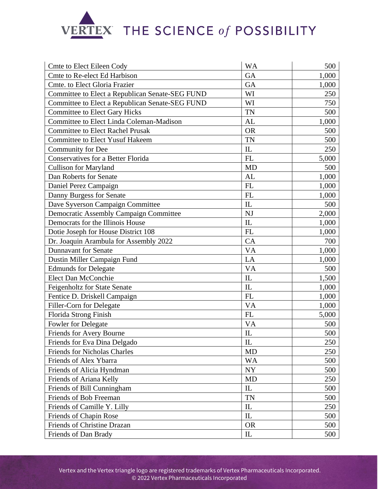# VERTEX THE SCIENCE of POSSIBILITY

| <b>Cmte to Elect Eileen Cody</b>                | <b>WA</b>                  | 500   |
|-------------------------------------------------|----------------------------|-------|
| Cmte to Re-elect Ed Harbison                    | GA                         | 1,000 |
| Cmte. to Elect Gloria Frazier                   | <b>GA</b>                  | 1,000 |
| Committee to Elect a Republican Senate-SEG FUND | WI                         | 250   |
| Committee to Elect a Republican Senate-SEG FUND | WI                         | 750   |
| <b>Committee to Elect Gary Hicks</b>            | <b>TN</b>                  | 500   |
| Committee to Elect Linda Coleman-Madison        | <b>AL</b>                  | 1,000 |
| <b>Committee to Elect Rachel Prusak</b>         | <b>OR</b>                  | 500   |
| <b>Committee to Elect Yusuf Hakeem</b>          | <b>TN</b>                  | 500   |
| Community for Dee                               | IL                         | 250   |
| <b>Conservatives for a Better Florida</b>       | FL                         | 5,000 |
| <b>Cullison for Maryland</b>                    | <b>MD</b>                  | 500   |
| Dan Roberts for Senate                          | AL                         | 1,000 |
| Daniel Perez Campaign                           | FL                         | 1,000 |
| Danny Burgess for Senate                        | FL                         | 1,000 |
| Dave Syverson Campaign Committee                | IL                         | 500   |
| <b>Democratic Assembly Campaign Committee</b>   | <b>NJ</b>                  | 2,000 |
| Democrats for the Illinois House                | IL                         | 1,000 |
| Dotie Joseph for House District 108             | FL                         | 1,000 |
| Dr. Joaquin Arambula for Assembly 2022          | CA                         | 700   |
| <b>Dunnavant for Senate</b>                     | <b>VA</b>                  | 1,000 |
| Dustin Miller Campaign Fund                     | LA                         | 1,000 |
| <b>Edmunds for Delegate</b>                     | <b>VA</b>                  | 500   |
| Elect Dan McConchie                             | IL                         | 1,500 |
| <b>Feigenholtz for State Senate</b>             | IL                         | 1,000 |
| Fentice D. Driskell Campaign                    | FL                         | 1,000 |
| Filler-Corn for Delegate                        | <b>VA</b>                  | 1,000 |
| Florida Strong Finish                           | FL                         | 5,000 |
| Fowler for Delegate                             | <b>VA</b>                  | 500   |
| Friends for Avery Bourne                        | IL                         | 500   |
| Friends for Eva Dina Delgado                    | IL                         | 250   |
| <b>Friends for Nicholas Charles</b>             | <b>MD</b>                  | 250   |
| Friends of Alex Ybarra                          | <b>WA</b>                  | 500   |
| Friends of Alicia Hyndman                       | NY                         | 500   |
| Friends of Ariana Kelly                         | <b>MD</b>                  | 250   |
| Friends of Bill Cunningham                      | IL                         | 500   |
| Friends of Bob Freeman                          | <b>TN</b>                  | 500   |
| Friends of Camille Y. Lilly                     | $\mathop{\rm IL}\nolimits$ | 250   |
| Friends of Chapin Rose                          | IL                         | 500   |
| Friends of Christine Drazan                     | <b>OR</b>                  | 500   |
| Friends of Dan Brady                            | ${\rm IL}$                 | 500   |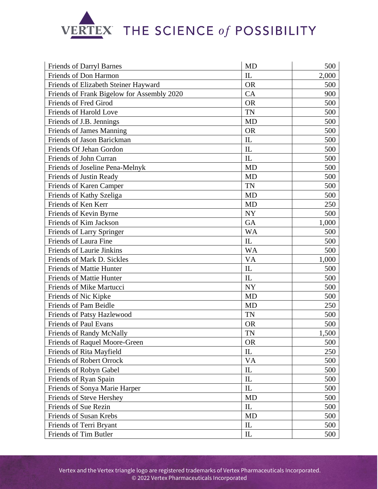# VERTEX THE SCIENCE of POSSIBILITY

| Friends of Darryl Barnes                   | <b>MD</b>                       | 500   |
|--------------------------------------------|---------------------------------|-------|
| Friends of Don Harmon                      | IL                              | 2,000 |
| Friends of Elizabeth Steiner Hayward       | <b>OR</b>                       | 500   |
| Friends of Frank Bigelow for Assembly 2020 | CA                              | 900   |
| Friends of Fred Girod                      | <b>OR</b>                       | 500   |
| Friends of Harold Love                     | <b>TN</b>                       | 500   |
| Friends of J.B. Jennings                   | <b>MD</b>                       | 500   |
| <b>Friends of James Manning</b>            | <b>OR</b>                       | 500   |
| Friends of Jason Barickman                 | $\mathop{\rm IL}\nolimits$      | 500   |
| Friends Of Jehan Gordon                    | IL                              | 500   |
| Friends of John Curran                     | IL                              | 500   |
| Friends of Joseline Pena-Melnyk            | <b>MD</b>                       | 500   |
| Friends of Justin Ready                    | <b>MD</b>                       | 500   |
| Friends of Karen Camper                    | <b>TN</b>                       | 500   |
| Friends of Kathy Szeliga                   | <b>MD</b>                       | 500   |
| Friends of Ken Kerr                        | <b>MD</b>                       | 250   |
| Friends of Kevin Byrne                     | <b>NY</b>                       | 500   |
| Friends of Kim Jackson                     | GA                              | 1,000 |
| Friends of Larry Springer                  | <b>WA</b>                       | 500   |
| Friends of Laura Fine                      | IL                              | 500   |
| <b>Friends of Laurie Jinkins</b>           | <b>WA</b>                       | 500   |
| Friends of Mark D. Sickles                 | <b>VA</b>                       | 1,000 |
| <b>Friends of Mattie Hunter</b>            | IL                              | 500   |
| <b>Friends of Mattie Hunter</b>            | IL                              | 500   |
| Friends of Mike Martucci                   | <b>NY</b>                       | 500   |
| Friends of Nic Kipke                       | <b>MD</b>                       | 500   |
| Friends of Pam Beidle                      | <b>MD</b>                       | 250   |
| Friends of Patsy Hazlewood                 | <b>TN</b>                       | 500   |
| <b>Friends of Paul Evans</b>               | <b>OR</b>                       | 500   |
| <b>Friends of Randy McNally</b>            | <b>TN</b>                       | 1,500 |
| Friends of Raquel Moore-Green              | <b>OR</b>                       | 500   |
| Friends of Rita Mayfield                   | IL                              | 250   |
| Friends of Robert Orrock                   | <b>VA</b>                       | 500   |
| Friends of Robyn Gabel                     | IL                              | 500   |
| Friends of Ryan Spain                      | ${\rm IL}$                      | 500   |
| Friends of Sonya Marie Harper              | IL                              | 500   |
| Friends of Steve Hershey                   | <b>MD</b>                       | 500   |
| Friends of Sue Rezin                       | IL                              | 500   |
| Friends of Susan Krebs                     | MD                              | 500   |
| Friends of Terri Bryant                    | $\mathop{\mathrm{IL}}\nolimits$ | 500   |
| Friends of Tim Butler                      | IL                              | 500   |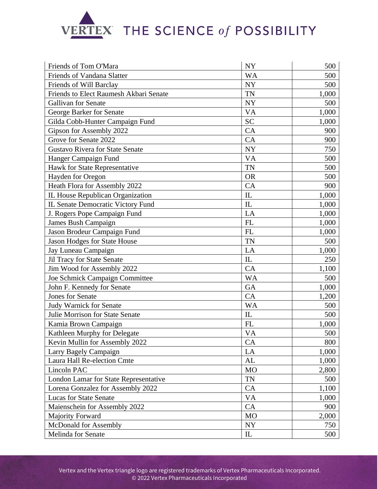# VERTEX THE SCIENCE of POSSIBILITY

| Friends of Tom O'Mara                  | <b>NY</b>                       | 500   |
|----------------------------------------|---------------------------------|-------|
| Friends of Vandana Slatter             | <b>WA</b>                       | 500   |
| Friends of Will Barclay                | <b>NY</b>                       | 500   |
| Friends to Elect Raumesh Akbari Senate | <b>TN</b>                       | 1,000 |
| <b>Gallivan for Senate</b>             | <b>NY</b>                       | 500   |
| George Barker for Senate               | <b>VA</b>                       | 1,000 |
| Gilda Cobb-Hunter Campaign Fund        | <b>SC</b>                       | 1,000 |
| Gipson for Assembly 2022               | CA                              | 900   |
| Grove for Senate 2022                  | CA                              | 900   |
| <b>Gustavo Rivera for State Senate</b> | <b>NY</b>                       | 750   |
| Hanger Campaign Fund                   | <b>VA</b>                       | 500   |
| Hawk for State Representative          | <b>TN</b>                       | 500   |
| Hayden for Oregon                      | <b>OR</b>                       | 500   |
| Heath Flora for Assembly 2022          | CA                              | 900   |
| IL House Republican Organization       | IL                              | 1,000 |
| IL Senate Democratic Victory Fund      | IL                              | 1,000 |
| J. Rogers Pope Campaign Fund           | LA                              | 1,000 |
| James Bush Campaign                    | FL                              | 1,000 |
| Jason Brodeur Campaign Fund            | FL                              | 1,000 |
| Jason Hodges for State House           | <b>TN</b>                       | 500   |
| Jay Luneau Campaign                    | LA                              | 1,000 |
| Jil Tracy for State Senate             | IL                              | 250   |
| Jim Wood for Assembly 2022             | CA                              | 1,100 |
| Joe Schmick Campaign Committee         | <b>WA</b>                       | 500   |
| John F. Kennedy for Senate             | <b>GA</b>                       | 1,000 |
| <b>Jones for Senate</b>                | CA                              | 1,200 |
| <b>Judy Warnick for Senate</b>         | <b>WA</b>                       | 500   |
| Julie Morrison for State Senate        | IL                              | 500   |
| Kamia Brown Campaign                   | FL                              | 1,000 |
| Kathleen Murphy for Delegate           | <b>VA</b>                       | 500   |
| Kevin Mullin for Assembly 2022         | CA                              | 800   |
| Larry Bagely Campaign                  | LA                              | 1,000 |
| Laura Hall Re-election Cmte            | AL                              | 1,000 |
| Lincoln PAC                            | M <sub>O</sub>                  | 2,800 |
| London Lamar for State Representative  | <b>TN</b>                       | 500   |
| Lorena Gonzalez for Assembly 2022      | CA                              | 1,100 |
| <b>Lucas for State Senate</b>          | <b>VA</b>                       | 1,000 |
| Maienschein for Assembly 2022          | CA                              | 900   |
| <b>Majority Forward</b>                | <b>MO</b>                       | 2,000 |
| McDonald for Assembly                  | <b>NY</b>                       | 750   |
| Melinda for Senate                     | $\mathop{\mathrm{IL}}\nolimits$ | 500   |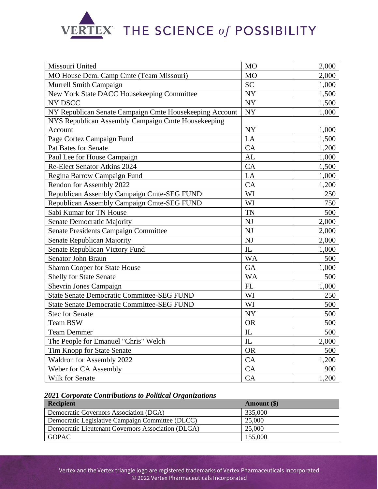

| Missouri United                                         | M <sub>O</sub> | 2,000 |
|---------------------------------------------------------|----------------|-------|
| MO House Dem. Camp Cmte (Team Missouri)                 | M <sub>O</sub> | 2,000 |
| Murrell Smith Campaign                                  | <b>SC</b>      | 1,000 |
| New York State DACC Housekeeping Committee              | NY             | 1,500 |
| NY DSCC                                                 | ${\rm NY}$     | 1,500 |
| NY Republican Senate Campaign Cmte Housekeeping Account | <b>NY</b>      | 1,000 |
| NYS Republican Assembly Campaign Cmte Housekeeping      |                |       |
| Account                                                 | <b>NY</b>      | 1,000 |
| Page Cortez Campaign Fund                               | LA             | 1,500 |
| <b>Pat Bates for Senate</b>                             | CA             | 1,200 |
| Paul Lee for House Campaign                             | <b>AL</b>      | 1,000 |
| Re-Elect Senator Atkins 2024                            | CA             | 1,500 |
| Regina Barrow Campaign Fund                             | LA             | 1,000 |
| Rendon for Assembly 2022                                | CA             | 1,200 |
| Republican Assembly Campaign Cmte-SEG FUND              | WI             | 250   |
| Republican Assembly Campaign Cmte-SEG FUND              | WI             | 750   |
| Sabi Kumar for TN House                                 | <b>TN</b>      | 500   |
| <b>Senate Democratic Majority</b>                       | NJ             | 2,000 |
| Senate Presidents Campaign Committee                    | <b>NJ</b>      | 2,000 |
| Senate Republican Majority                              | NJ             | 2,000 |
| Senate Republican Victory Fund                          | IL             | 1,000 |
| Senator John Braun                                      | <b>WA</b>      | 500   |
| <b>Sharon Cooper for State House</b>                    | GA             | 1,000 |
| <b>Shelly for State Senate</b>                          | <b>WA</b>      | 500   |
| <b>Shevrin Jones Campaign</b>                           | FL             | 1,000 |
| <b>State Senate Democratic Committee-SEG FUND</b>       | WI             | 250   |
| <b>State Senate Democratic Committee-SEG FUND</b>       | WI             | 500   |
| <b>Stec for Senate</b>                                  | <b>NY</b>      | 500   |
| Team BSW                                                | <b>OR</b>      | 500   |
| <b>Team Demmer</b>                                      | $\hbox{I\!L}$  | 500   |
| The People for Emanuel "Chris" Welch                    | IL             | 2,000 |
| Tim Knopp for State Senate                              | <b>OR</b>      | 500   |
| Waldron for Assembly 2022                               | CA             | 1,200 |
| Weber for CA Assembly                                   | CA             | 900   |
| Wilk for Senate                                         | CA             | 1,200 |

## *2021 Corporate Contributions to Political Organizations*

| <b>Recipient</b>                                   | Amount (\$) |
|----------------------------------------------------|-------------|
| Democratic Governors Association (DGA)             | 335,000     |
| Democratic Legislative Campaign Committee (DLCC)   | 25,000      |
| Democratic Lieutenant Governors Association (DLGA) | 25,000      |
| <b>GOPAC</b>                                       | 155,000     |